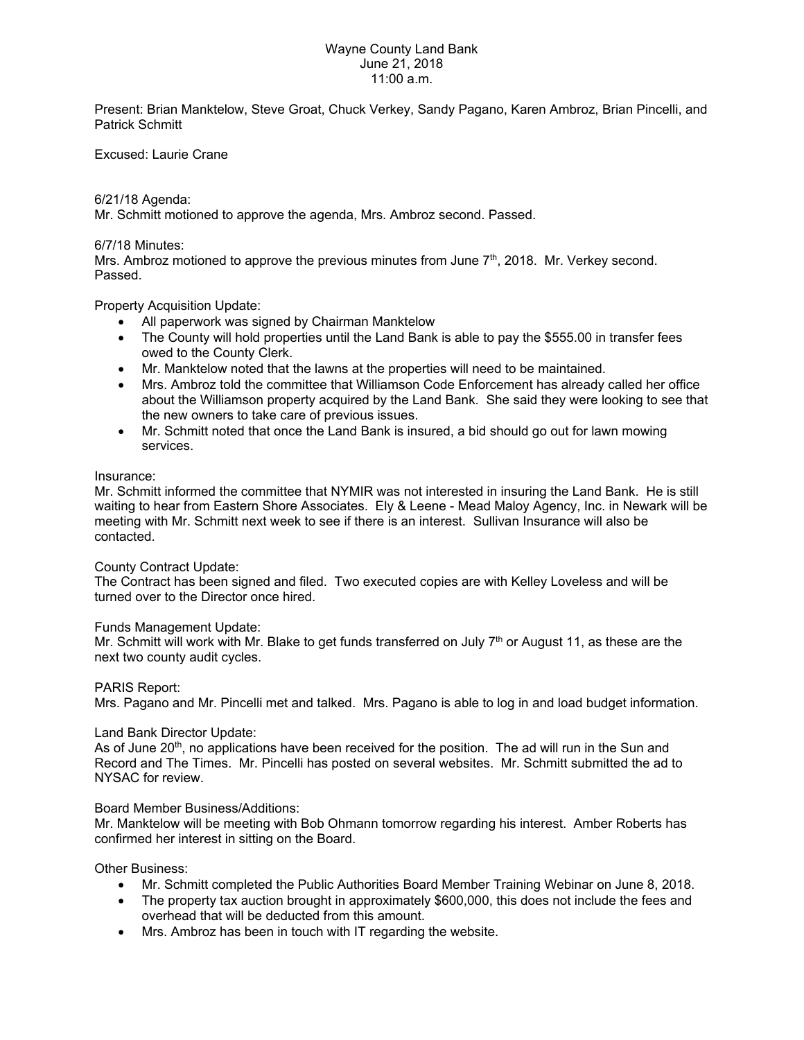## Wayne County Land Bank June 21, 2018 11:00 a.m.

Present: Brian Manktelow, Steve Groat, Chuck Verkey, Sandy Pagano, Karen Ambroz, Brian Pincelli, and Patrick Schmitt

Excused: Laurie Crane

# 6/21/18 Agenda:

Mr. Schmitt motioned to approve the agenda, Mrs. Ambroz second. Passed.

## 6/7/18 Minutes:

Mrs. Ambroz motioned to approve the previous minutes from June  $7<sup>th</sup>$ , 2018. Mr. Verkey second. Passed.

Property Acquisition Update:

- All paperwork was signed by Chairman Manktelow
- The County will hold properties until the Land Bank is able to pay the \$555.00 in transfer fees owed to the County Clerk.
- Mr. Manktelow noted that the lawns at the properties will need to be maintained.
- Mrs. Ambroz told the committee that Williamson Code Enforcement has already called her office about the Williamson property acquired by the Land Bank. She said they were looking to see that the new owners to take care of previous issues.
- Mr. Schmitt noted that once the Land Bank is insured, a bid should go out for lawn mowing services.

#### Insurance:

Mr. Schmitt informed the committee that NYMIR was not interested in insuring the Land Bank. He is still waiting to hear from Eastern Shore Associates. Ely & Leene - Mead Maloy Agency, Inc. in Newark will be meeting with Mr. Schmitt next week to see if there is an interest. Sullivan Insurance will also be contacted.

#### County Contract Update:

The Contract has been signed and filed. Two executed copies are with Kelley Loveless and will be turned over to the Director once hired.

#### Funds Management Update:

Mr. Schmitt will work with Mr. Blake to get funds transferred on July  $7<sup>th</sup>$  or August 11, as these are the next two county audit cycles.

#### PARIS Report:

Mrs. Pagano and Mr. Pincelli met and talked. Mrs. Pagano is able to log in and load budget information.

#### Land Bank Director Update:

As of June  $20<sup>th</sup>$ , no applications have been received for the position. The ad will run in the Sun and Record and The Times. Mr. Pincelli has posted on several websites. Mr. Schmitt submitted the ad to NYSAC for review.

#### Board Member Business/Additions:

Mr. Manktelow will be meeting with Bob Ohmann tomorrow regarding his interest. Amber Roberts has confirmed her interest in sitting on the Board.

Other Business:

- Mr. Schmitt completed the Public Authorities Board Member Training Webinar on June 8, 2018.
- The property tax auction brought in approximately \$600,000, this does not include the fees and overhead that will be deducted from this amount.
- Mrs. Ambroz has been in touch with IT regarding the website.